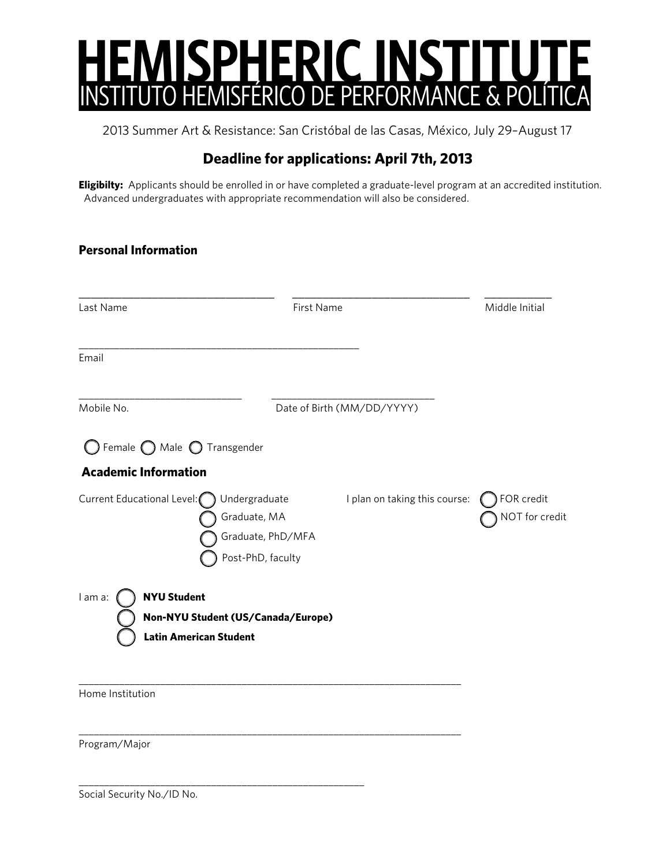

2013 Summer Art & Resistance: San Cristóbal de las Casas, México, July 29–August 17

## **Deadline for applications: April 7th, 2013**

**Eligibilty:** Applicants should be enrolled in or have completed a graduate-level program at an accredited institution. Advanced undergraduates with appropriate recommendation will also be considered.

| <b>Personal Information</b>                                    |                                                                                                          |                              |
|----------------------------------------------------------------|----------------------------------------------------------------------------------------------------------|------------------------------|
| Last Name                                                      | First Name                                                                                               | Middle Initial               |
| Email                                                          |                                                                                                          |                              |
| Mobile No.                                                     | Date of Birth (MM/DD/YYYY)                                                                               |                              |
| ) Female $\bigcap$ Male $\bigcirc$ Transgender                 |                                                                                                          |                              |
| <b>Academic Information</b>                                    |                                                                                                          |                              |
| Current Educational Level:                                     | Undergraduate<br>I plan on taking this course:<br>Graduate, MA<br>Graduate, PhD/MFA<br>Post-PhD, faculty | FOR credit<br>NOT for credit |
| l am a:<br><b>NYU Student</b><br><b>Latin American Student</b> | Non-NYU Student (US/Canada/Europe)                                                                       |                              |
| Home Institution                                               |                                                                                                          |                              |
| Program/Major                                                  |                                                                                                          |                              |
|                                                                |                                                                                                          |                              |

Social Security No./ID No.